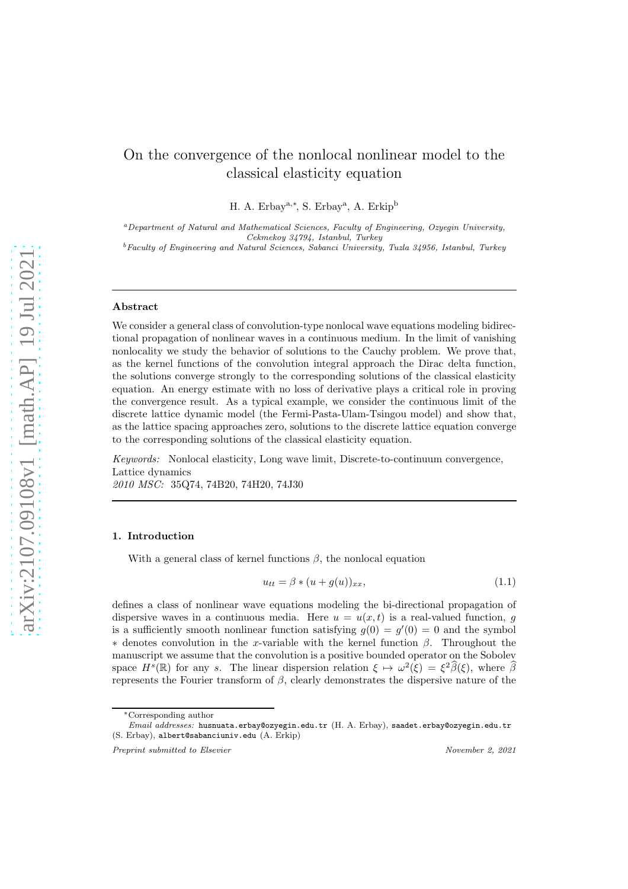# On the convergence of the nonlocal nonlinear model to the classical elasticity equation

H. A. Erbay<sup>a,∗</sup>, S. Erbay<sup>a</sup>, A. Erkip<sup>b</sup>

<sup>a</sup>Department of Natural and Mathematical Sciences, Faculty of Engineering, Ozyegin University, Cekmekoy 34794, Istanbul, Turkey  $^{b}$  Faculty of Engineering and Natural Sciences, Sabanci University, Tuzla 34956, Istanbul, Turkey

# Abstract

We consider a general class of convolution-type nonlocal wave equations modeling bidirectional propagation of nonlinear waves in a continuous medium. In the limit of vanishing nonlocality we study the behavior of solutions to the Cauchy problem. We prove that, as the kernel functions of the convolution integral approach the Dirac delta function, the solutions converge strongly to the corresponding solutions of the classical elasticity equation. An energy estimate with no loss of derivative plays a critical role in proving the convergence result. As a typical example, we consider the continuous limit of the discrete lattice dynamic model (the Fermi-Pasta-Ulam-Tsingou model) and show that, as the lattice spacing approaches zero, solutions to the discrete lattice equation converge to the corresponding solutions of the classical elasticity equation.

Keywords: Nonlocal elasticity, Long wave limit, Discrete-to-continuum convergence, Lattice dynamics 2010 MSC: 35Q74, 74B20, 74H20, 74J30

### 1. Introduction

With a general class of kernel functions  $\beta$ , the nonlocal equation

<span id="page-0-0"></span>
$$
u_{tt} = \beta * (u + g(u))_{xx}, \qquad (1.1)
$$

defines a class of nonlinear wave equations modeling the bi-directional propagation of dispersive waves in a continuous media. Here  $u = u(x, t)$  is a real-valued function, g is a sufficiently smooth nonlinear function satisfying  $g(0) = g'(0) = 0$  and the symbol  $*$  denotes convolution in the x-variable with the kernel function  $\beta$ . Throughout the manuscript we assume that the convolution is a positive bounded operator on the Sobolev space  $H^s(\mathbb{R})$  for any s. The linear dispersion relation  $\xi \mapsto \omega^2(\xi) = \xi^2 \widehat{\beta}(\xi)$ , where  $\widehat{\beta}$ represents the Fourier transform of  $\beta$ , clearly demonstrates the dispersive nature of the

<sup>∗</sup>Corresponding author

Email addresses: husnuata.erbay@ozyegin.edu.tr (H. A. Erbay), saadet.erbay@ozyegin.edu.tr (S. Erbay), albert@sabanciuniv.edu (A. Erkip)

Preprint submitted to Elsevier November 2, 2021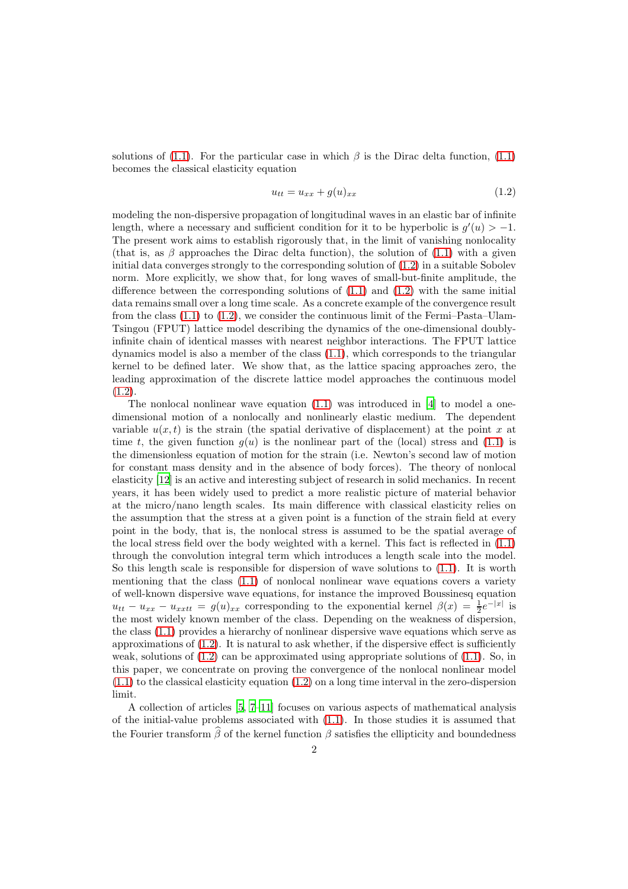solutions of [\(1.1\)](#page-0-0). For the particular case in which  $\beta$  is the Dirac delta function, (1.1) becomes the classical elasticity equation

<span id="page-1-0"></span>
$$
u_{tt} = u_{xx} + g(u)_{xx} \tag{1.2}
$$

modeling the non-dispersive propagation of longitudinal waves in an elastic bar of infinite length, where a necessary and sufficient condition for it to be hyperbolic is  $g'(u) > -1$ . The present work aims to establish rigorously that, in the limit of vanishing nonlocality (that is, as  $\beta$  approaches the Dirac delta function), the solution of [\(1.1\)](#page-0-0) with a given initial data converges strongly to the corresponding solution of [\(1.2\)](#page-1-0) in a suitable Sobolev norm. More explicitly, we show that, for long waves of small-but-finite amplitude, the difference between the corresponding solutions of  $(1.1)$  and  $(1.2)$  with the same initial data remains small over a long time scale. As a concrete example of the convergence result from the class  $(1.1)$  to  $(1.2)$ , we consider the continuous limit of the Fermi–Pasta–Ulam-Tsingou (FPUT) lattice model describing the dynamics of the one-dimensional doublyinfinite chain of identical masses with nearest neighbor interactions. The FPUT lattice dynamics model is also a member of the class [\(1.1\)](#page-0-0), which corresponds to the triangular kernel to be defined later. We show that, as the lattice spacing approaches zero, the leading approximation of the discrete lattice model approaches the continuous model  $(1.2).$  $(1.2).$ 

The nonlocal nonlinear wave equation  $(1.1)$  was introduced in [\[4\]](#page-16-0) to model a onedimensional motion of a nonlocally and nonlinearly elastic medium. The dependent variable  $u(x, t)$  is the strain (the spatial derivative of displacement) at the point x at time t, the given function  $g(u)$  is the nonlinear part of the (local) stress and [\(1.1\)](#page-0-0) is the dimensionless equation of motion for the strain (i.e. Newton's second law of motion for constant mass density and in the absence of body forces). The theory of nonlocal elasticity [\[12\]](#page-16-1) is an active and interesting subject of research in solid mechanics. In recent years, it has been widely used to predict a more realistic picture of material behavior at the micro/nano length scales. Its main difference with classical elasticity relies on the assumption that the stress at a given point is a function of the strain field at every point in the body, that is, the nonlocal stress is assumed to be the spatial average of the local stress field over the body weighted with a kernel. This fact is reflected in [\(1.1\)](#page-0-0) through the convolution integral term which introduces a length scale into the model. So this length scale is responsible for dispersion of wave solutions to [\(1.1\)](#page-0-0). It is worth mentioning that the class [\(1.1\)](#page-0-0) of nonlocal nonlinear wave equations covers a variety of well-known dispersive wave equations, for instance the improved Boussinesq equation  $u_{tt} - u_{xx} - u_{xxtt} = g(u)_{xx}$  corresponding to the exponential kernel  $\beta(x) = \frac{1}{2}e^{-|x|}$  is the most widely known member of the class. Depending on the weakness of dispersion, the class [\(1.1\)](#page-0-0) provides a hierarchy of nonlinear dispersive wave equations which serve as approximations of  $(1.2)$ . It is natural to ask whether, if the dispersive effect is sufficiently weak, solutions of  $(1.2)$  can be approximated using appropriate solutions of  $(1.1)$ . So, in this paper, we concentrate on proving the convergence of the nonlocal nonlinear model  $(1.1)$  to the classical elasticity equation  $(1.2)$  on a long time interval in the zero-dispersion limit.

A collection of articles [\[5,](#page-16-2) [7](#page-16-3)[–11\]](#page-16-4) focuses on various aspects of mathematical analysis of the initial-value problems associated with [\(1.1\)](#page-0-0). In those studies it is assumed that the Fourier transform  $\widehat{\beta}$  of the kernel function  $\beta$  satisfies the ellipticity and boundedness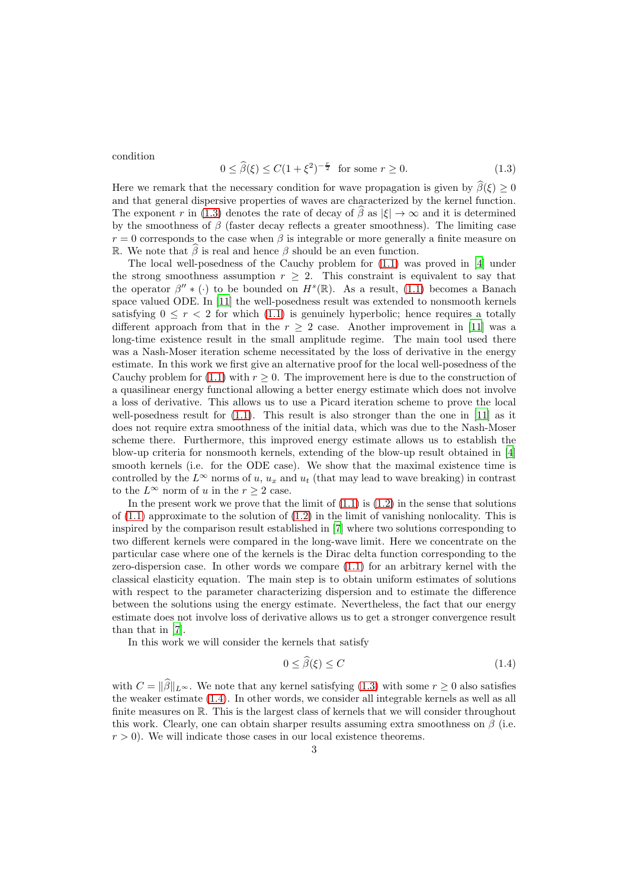<span id="page-2-0"></span>condition

$$
0 \le \hat{\beta}(\xi) \le C(1 + \xi^2)^{-\frac{r}{2}} \text{ for some } r \ge 0. \tag{1.3}
$$

Here we remark that the necessary condition for wave propagation is given by  $\hat{\beta}(\xi) \geq 0$ and that general dispersive properties of waves are characterized by the kernel function. The exponent r in [\(1.3\)](#page-2-0) denotes the rate of decay of  $\hat{\beta}$  as  $|\xi| \to \infty$  and it is determined by the smoothness of  $\beta$  (faster decay reflects a greater smoothness). The limiting case  $r = 0$  corresponds to the case when  $\beta$  is integrable or more generally a finite measure on R. We note that  $\beta$  is real and hence  $\beta$  should be an even function.

The local well-posedness of the Cauchy problem for [\(1.1\)](#page-0-0) was proved in [\[4\]](#page-16-0) under the strong smoothness assumption  $r \geq 2$ . This constraint is equivalent to say that the operator  $\beta'' * (\cdot)$  to be bounded on  $H^s(\mathbb{R})$ . As a result, [\(1.1\)](#page-0-0) becomes a Banach space valued ODE. In [\[11\]](#page-16-4) the well-posedness result was extended to nonsmooth kernels satisfying  $0 \leq r < 2$  for which [\(1.1\)](#page-0-0) is genuinely hyperbolic; hence requires a totally different approach from that in the  $r \geq 2$  case. Another improvement in [\[11](#page-16-4)] was a long-time existence result in the small amplitude regime. The main tool used there was a Nash-Moser iteration scheme necessitated by the loss of derivative in the energy estimate. In this work we first give an alternative proof for the local well-posedness of the Cauchy problem for [\(1.1\)](#page-0-0) with  $r \geq 0$ . The improvement here is due to the construction of a quasilinear energy functional allowing a better energy estimate which does not involve a loss of derivative. This allows us to use a Picard iteration scheme to prove the local well-posedness result for  $(1.1)$ . This result is also stronger than the one in  $[11]$  as it does not require extra smoothness of the initial data, which was due to the Nash-Moser scheme there. Furthermore, this improved energy estimate allows us to establish the blow-up criteria for nonsmooth kernels, extending of the blow-up result obtained in [\[4](#page-16-0)] smooth kernels (i.e. for the ODE case). We show that the maximal existence time is controlled by the  $L^{\infty}$  norms of u,  $u_x$  and  $u_t$  (that may lead to wave breaking) in contrast to the  $L^{\infty}$  norm of u in the  $r \geq 2$  case.

In the present work we prove that the limit of  $(1.1)$  is  $(1.2)$  in the sense that solutions of  $(1.1)$  approximate to the solution of  $(1.2)$  in the limit of vanishing nonlocality. This is inspired by the comparison result established in [\[7\]](#page-16-3) where two solutions corresponding to two different kernels were compared in the long-wave limit. Here we concentrate on the particular case where one of the kernels is the Dirac delta function corresponding to the zero-dispersion case. In other words we compare [\(1.1\)](#page-0-0) for an arbitrary kernel with the classical elasticity equation. The main step is to obtain uniform estimates of solutions with respect to the parameter characterizing dispersion and to estimate the difference between the solutions using the energy estimate. Nevertheless, the fact that our energy estimate does not involve loss of derivative allows us to get a stronger convergence result than that in [\[7\]](#page-16-3).

In this work we will consider the kernels that satisfy

<span id="page-2-1"></span>
$$
0 \le \beta(\xi) \le C \tag{1.4}
$$

with  $C = ||\widehat{\beta}||_{L^{\infty}}$ . We note that any kernel satisfying [\(1.3\)](#page-2-0) with some  $r \geq 0$  also satisfies the weaker estimate [\(1.4\)](#page-2-1). In other words, we consider all integrable kernels as well as all finite measures on R. This is the largest class of kernels that we will consider throughout this work. Clearly, one can obtain sharper results assuming extra smoothness on  $\beta$  (i.e.  $r > 0$ ). We will indicate those cases in our local existence theorems.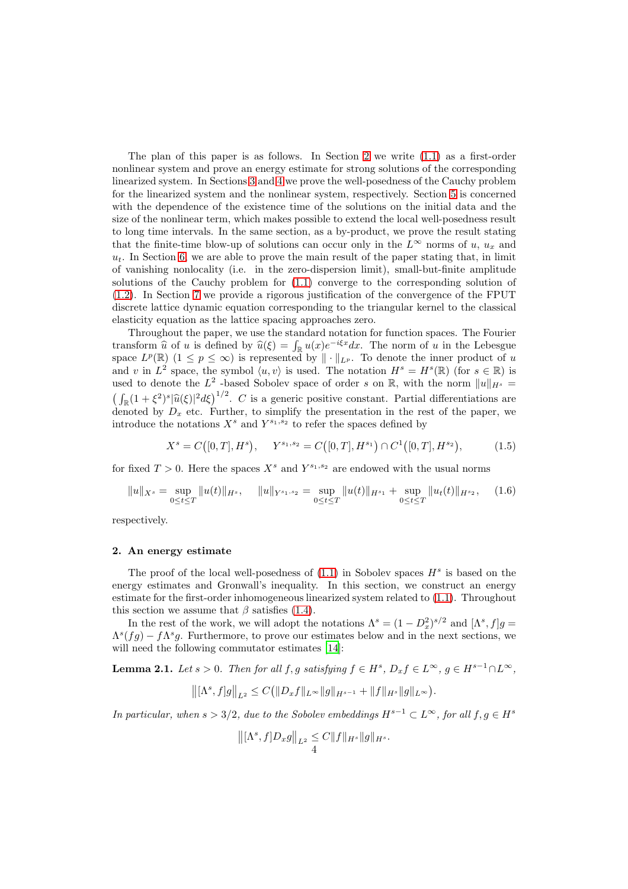The plan of this paper is as follows. In Section [2](#page-3-0) we write  $(1.1)$  as a first-order nonlinear system and prove an energy estimate for strong solutions of the corresponding linearized system. In Sections [3](#page-6-0) and [4](#page-7-0) we prove the well-posedness of the Cauchy problem for the linearized system and the nonlinear system, respectively. Section [5](#page-8-0) is concerned with the dependence of the existence time of the solutions on the initial data and the size of the nonlinear term, which makes possible to extend the local well-posedness result to long time intervals. In the same section, as a by-product, we prove the result stating that the finite-time blow-up of solutions can occur only in the  $L^{\infty}$  norms of u,  $u_x$  and  $u_t$ . In Section [6,](#page-11-0) we are able to prove the main result of the paper stating that, in limit of vanishing nonlocality (i.e. in the zero-dispersion limit), small-but-finite amplitude solutions of the Cauchy problem for [\(1.1\)](#page-0-0) converge to the corresponding solution of [\(1.2\)](#page-1-0). In Section [7](#page-13-0) we provide a rigorous justification of the convergence of the FPUT discrete lattice dynamic equation corresponding to the triangular kernel to the classical elasticity equation as the lattice spacing approaches zero.

Throughout the paper, we use the standard notation for function spaces. The Fourier transform  $\hat{u}$  of u is defined by  $\hat{u}(\xi) = \int_{\mathbb{R}} u(x)e^{-i\xi x} dx$ . The norm of u in the Lebesgue space  $L^p(\mathbb{R})$   $(1 \leq p \leq \infty)$  is represented by  $\|\cdot\|_{L^p}$ . To denote the inner product of u and v in  $L^2$  space, the symbol  $\langle u, v \rangle$  is used. The notation  $H^s = H^s(\mathbb{R})$  (for  $s \in \mathbb{R}$ ) is used to denote the  $L^2$  -based Sobolev space of order s on R, with the norm  $||u||_{H^s} =$  $\left(\int_{\mathbb{R}}(1+\xi^2)^s|\widehat{u}(\xi)|^2d\xi\right)^{1/2}$ . C is a generic positive constant. Partial differentiations are denoted by  $D_x$  etc. Further, to simplify the presentation in the rest of the paper, we introduce the notations  $X^s$  and  $Y^{s_1,s_2}$  to refer the spaces defined by

$$
X^{s} = C([0, T], H^{s}), \quad Y^{s_1, s_2} = C([0, T], H^{s_1}) \cap C^{1}([0, T], H^{s_2}), \tag{1.5}
$$

for fixed  $T > 0$ . Here the spaces  $X<sup>s</sup>$  and  $Y<sup>s<sub>1</sub>, s<sub>2</sub></sup>$  are endowed with the usual norms

$$
||u||_{X^s} = \sup_{0 \le t \le T} ||u(t)||_{H^s}, \quad ||u||_{Y^{s_1,s_2}} = \sup_{0 \le t \le T} ||u(t)||_{H^{s_1}} + \sup_{0 \le t \le T} ||u_t(t)||_{H^{s_2}}, \quad (1.6)
$$

respectively.

#### <span id="page-3-0"></span>2. An energy estimate

The proof of the local well-posedness of  $(1.1)$  in Sobolev spaces  $H<sup>s</sup>$  is based on the energy estimates and Gronwall's inequality. In this section, we construct an energy estimate for the first-order inhomogeneous linearized system related to [\(1.1\)](#page-0-0). Throughout this section we assume that  $\beta$  satisfies [\(1.4\)](#page-2-1).

In the rest of the work, we will adopt the notations  $\Lambda^{s} = (1 - D_x^2)^{s/2}$  and  $[\Lambda^{s}, f]g =$  $\Lambda^{s}(fg) - f \Lambda^{s}g$ . Furthermore, to prove our estimates below and in the next sections, we will need the following commutator estimates [\[14\]](#page-16-5):

<span id="page-3-1"></span>**Lemma 2.1.** Let  $s > 0$ . Then for all  $f, g$  satisfying  $f \in H^s$ ,  $D_x f \in L^\infty$ ,  $g \in H^{s-1} \cap L^\infty$ ,

$$
\big\| \big[ \Lambda^s , f] g \big\|_{L^2} \leq C \big( \|D_x f\|_{L^\infty} \|g\|_{H^{s-1}} + \|f\|_{H^s} \|g\|_{L^\infty} \big).
$$

In particular, when  $s > 3/2$ , due to the Sobolev embeddings  $H^{s-1} \subset L^{\infty}$ , for all  $f, g \in H^s$ 

$$
\left\| [\Lambda^s, f]D_x g \right\|_{L^2} \leq C \|f\|_{H^s} \|g\|_{H^s}.
$$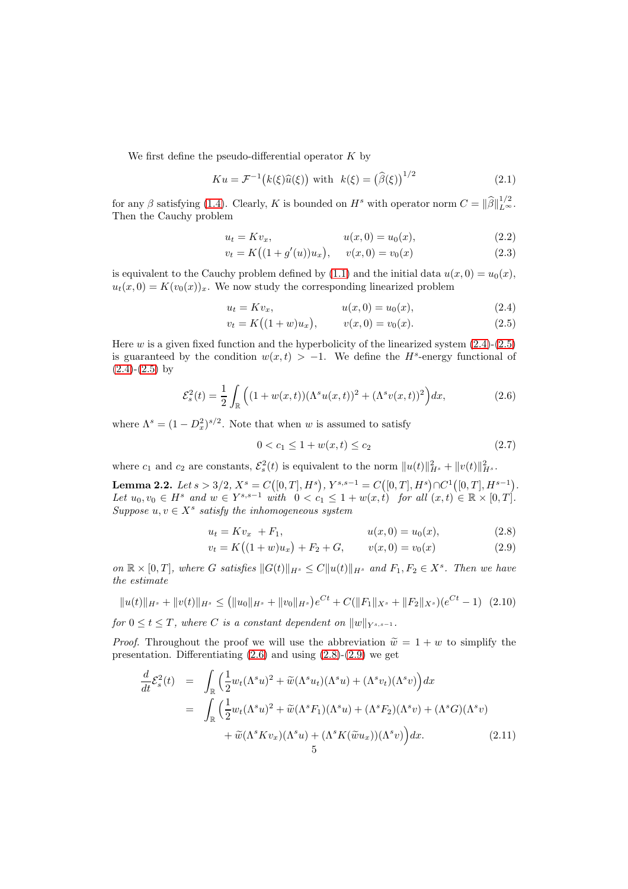We first define the pseudo-differential operator  $K$  by

$$
Ku = \mathcal{F}^{-1}(k(\xi)\widehat{u}(\xi)) \text{ with } k(\xi) = (\widehat{\beta}(\xi))^{1/2} \tag{2.1}
$$

for any  $\beta$  satisfying [\(1.4\)](#page-2-1). Clearly, K is bounded on  $H^s$  with operator norm  $C = ||\widehat{\beta}||_{L^{\infty}}^{1/2}$ . Then the Cauchy problem

<span id="page-4-6"></span>
$$
u_t = Kv_x, \t u(x, 0) = u_0(x), \t (2.2)
$$

$$
v_t = K((1 + g'(u))u_x), \quad v(x, 0) = v_0(x)
$$
\n(2.3)

is equivalent to the Cauchy problem defined by [\(1.1\)](#page-0-0) and the initial data  $u(x, 0) = u_0(x)$ ,  $u_t(x, 0) = K(v_0(x))_x$ . We now study the corresponding linearized problem

<span id="page-4-0"></span>
$$
u_t = Kv_x, \t u(x, 0) = u_0(x), \t (2.4)
$$

$$
v_t = K((1+w)u_x), \qquad v(x,0) = v_0(x). \tag{2.5}
$$

Here  $w$  is a given fixed function and the hyperbolicity of the linearized system  $(2.4)-(2.5)$  $(2.4)-(2.5)$  $(2.4)-(2.5)$ is guaranteed by the condition  $w(x,t) > -1$ . We define the H<sup>s</sup>-energy functional of  $(2.4)-(2.5)$  $(2.4)-(2.5)$  $(2.4)-(2.5)$  by

<span id="page-4-1"></span>
$$
\mathcal{E}_s^2(t) = \frac{1}{2} \int_{\mathbb{R}} \left( (1 + w(x, t)) (\Lambda^s u(x, t))^2 + (\Lambda^s v(x, t))^2 \right) dx, \tag{2.6}
$$

where  $\Lambda^s = (1 - D_x^2)^{s/2}$ . Note that when w is assumed to satisfy

$$
0 < c_1 \le 1 + w(x, t) \le c_2 \tag{2.7}
$$

where  $c_1$  and  $c_2$  are constants,  $\mathcal{E}_s^2(t)$  is equivalent to the norm  $||u(t)||_{H^s}^2 + ||v(t)||_{H^s}^2$ .

<span id="page-4-5"></span>Lemma 2.2. Let  $s > 3/2$ ,  $X^s = C([0, T], H^s)$ ,  $Y^{s,s-1} = C([0, T], H^s) \cap C^1([0, T], H^{s-1})$ . Let  $u_0, v_0 \in H^s$  and  $w \in Y^{s,s-1}$  with  $0 < c_1 \leq 1 + w(x,t)$  for all  $(x,t) \in \mathbb{R} \times [0,T]$ . Suppose  $u, v \in X^s$  satisfy the inhomogeneous system

<span id="page-4-2"></span>
$$
u_t = Kv_x + F_1, \t u(x,0) = u_0(x), \t (2.8)
$$

<span id="page-4-4"></span>
$$
v_t = K((1+w)u_x) + F_2 + G, \qquad v(x,0) = v_0(x) \tag{2.9}
$$

on  $\mathbb{R} \times [0,T]$ , where G satisfies  $||G(t)||_{H^s} \leq C||u(t)||_{H^s}$  and  $F_1, F_2 \in X^s$ . Then we have the estimate

$$
||u(t)||_{H^s} + ||v(t)||_{H^s} \le (||u_0||_{H^s} + ||v_0||_{H^s})e^{Ct} + C(||F_1||_{X^s} + ||F_2||_{X^s})(e^{Ct} - 1) \tag{2.10}
$$

for  $0 \le t \le T$ , where C is a constant dependent on  $||w||_{Y^{s,s-1}}$ .

*Proof.* Throughout the proof we will use the abbreviation  $\tilde{w} = 1 + w$  to simplify the presentation. Differentiating  $(2.6)$  and using  $(2.8)-(2.9)$  $(2.8)-(2.9)$  we get

<span id="page-4-3"></span>
$$
\frac{d}{dt}\mathcal{E}_s^2(t) = \int_{\mathbb{R}} \left( \frac{1}{2} w_t (\Lambda^s u)^2 + \widetilde{w} (\Lambda^s u_t) (\Lambda^s u) + (\Lambda^s v_t) (\Lambda^s v) \right) dx
$$
\n
$$
= \int_{\mathbb{R}} \left( \frac{1}{2} w_t (\Lambda^s u)^2 + \widetilde{w} (\Lambda^s F_1) (\Lambda^s u) + (\Lambda^s F_2) (\Lambda^s v) + (\Lambda^s G) (\Lambda^s v) \right) dx
$$
\n
$$
+ \widetilde{w} (\Lambda^s K v_x) (\Lambda^s u) + (\Lambda^s K (\widetilde{w} u_x)) (\Lambda^s v) \Big) dx. \tag{2.11}
$$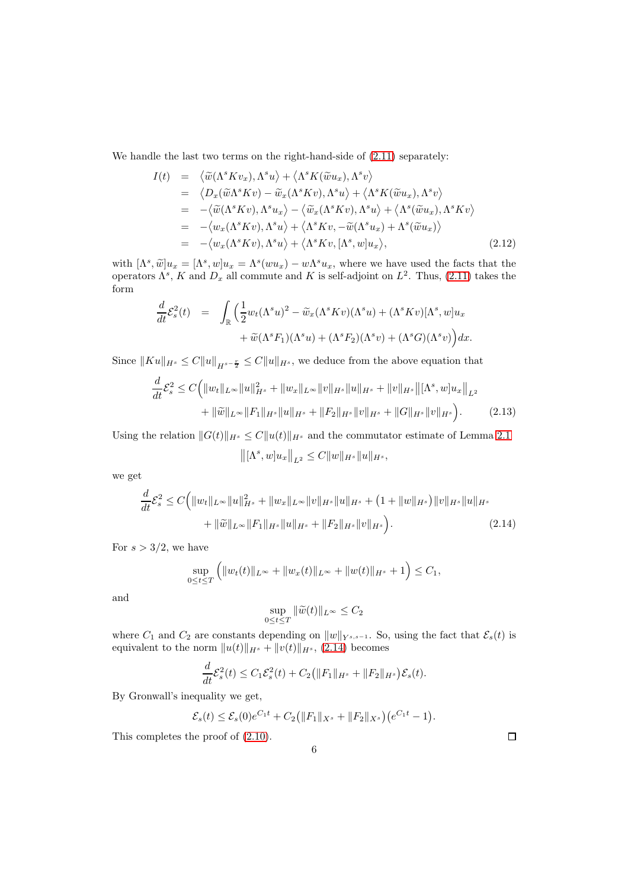We handle the last two terms on the right-hand-side of  $(2.11)$  separately:

$$
I(t) = \langle \widetilde{w}(\Lambda^s K v_x), \Lambda^s u \rangle + \langle \Lambda^s K(\widetilde{w} u_x), \Lambda^s v \rangle
$$
  
\n
$$
= \langle D_x(\widetilde{w} \Lambda^s K v) - \widetilde{w}_x(\Lambda^s K v), \Lambda^s u \rangle + \langle \Lambda^s K(\widetilde{w} u_x), \Lambda^s v \rangle
$$
  
\n
$$
= -\langle \widetilde{w}(\Lambda^s K v), \Lambda^s u_x \rangle - \langle \widetilde{w}_x(\Lambda^s K v), \Lambda^s u \rangle + \langle \Lambda^s (\widetilde{w} u_x), \Lambda^s K v \rangle
$$
  
\n
$$
= -\langle w_x(\Lambda^s K v), \Lambda^s u \rangle + \langle \Lambda^s K v, -\widetilde{w}(\Lambda^s u_x) + \Lambda^s (\widetilde{w} u_x) \rangle
$$
  
\n
$$
= -\langle w_x(\Lambda^s K v), \Lambda^s u \rangle + \langle \Lambda^s K v, [\Lambda^s, w] u_x \rangle, \qquad (2.12)
$$

with  $[\Lambda^s, \tilde{w}]u_x = [\Lambda^s, w]u_x = \Lambda^s(wu_x) - w\Lambda^s u_x$ , where we have used the facts that the operators  $\Lambda^s$ , K and  $D_x$  all commute and K is self-adjoint on  $L^2$ . Thus, [\(2.11\)](#page-4-3) takes the form

$$
\frac{d}{dt}\mathcal{E}_s^2(t) = \int_{\mathbb{R}} \left( \frac{1}{2} w_t (\Lambda^s u)^2 - \widetilde{w}_x (\Lambda^s K v) (\Lambda^s u) + (\Lambda^s K v) [\Lambda^s, w] u_x + \widetilde{w} (\Lambda^s F_1) (\Lambda^s u) + (\Lambda^s F_2) (\Lambda^s v) + (\Lambda^s G) (\Lambda^s v) \right) dx.
$$

Since  $||Ku||_{H^s} \leq C||u||_{H^{s-\frac{r}{2}}} \leq C||u||_{H^s}$ , we deduce from the above equation that

<span id="page-5-1"></span>
$$
\frac{d}{dt}\mathcal{E}_s^2 \le C \Big( \|w_t\|_{L^\infty} \|u\|_{H^s}^2 + \|w_x\|_{L^\infty} \|v\|_{H^s} \|u\|_{H^s} + \|v\|_{H^s} \big\| [\Lambda^s, w] u_x \big\|_{L^2}
$$

$$
+ \| \widetilde{w} \|_{L^\infty} \|F_1\|_{H^s} \|u\|_{H^s} + \|F_2\|_{H^s} \|v\|_{H^s} + \|G\|_{H^s} \|v\|_{H^s} \Big). \tag{2.13}
$$

Using the relation  $||G(t)||_{H^s} \leq C||u(t)||_{H^s}$  and the commutator estimate of Lemma [2.1](#page-3-1)

$$
\left\| [\Lambda^s, w] u_x \right\|_{L^2} \leq C \|w\|_{H^s} \|u\|_{H^s},
$$

we get

<span id="page-5-0"></span>
$$
\frac{d}{dt}\mathcal{E}_s^2 \le C \Big( \|w_t\|_{L^\infty} \|u\|_{H^s}^2 + \|w_x\|_{L^\infty} \|v\|_{H^s} \|u\|_{H^s} + (1 + \|w\|_{H^s}) \|v\|_{H^s} \|u\|_{H^s} + \|\widetilde{w}\|_{L^\infty} \|F_1\|_{H^s} \|u\|_{H^s} + \|F_2\|_{H^s} \|v\|_{H^s} \Big). \tag{2.14}
$$

For  $s > 3/2$ , we have

$$
\sup_{0\leq t\leq T}\left(\|w_t(t)\|_{L^\infty}+\|w_x(t)\|_{L^\infty}+\|w(t)\|_{H^s}+1\right)\leq C_1,
$$

and

$$
\sup_{0\leq t\leq T}\|\widetilde{w}(t)\|_{L^\infty}\leq C_2
$$

where  $C_1$  and  $C_2$  are constants depending on  $||w||_{Y^{s,s-1}}$ . So, using the fact that  $\mathcal{E}_s(t)$  is equivalent to the norm  $||u(t)||_{H^s} + ||v(t)||_{H^s}$ , [\(2.14\)](#page-5-0) becomes

$$
\frac{d}{dt}\mathcal{E}_s^2(t) \leq C_1 \mathcal{E}_s^2(t) + C_2 (||F_1||_{H^s} + ||F_2||_{H^s}) \mathcal{E}_s(t).
$$

By Gronwall's inequality we get,

$$
\mathcal{E}_s(t) \leq \mathcal{E}_s(0)e^{C_1t} + C_2(||F_1||_{X^s} + ||F_2||_{X^s})(e^{C_1t} - 1).
$$

This completes the proof of [\(2.10\)](#page-4-4).

 $\Box$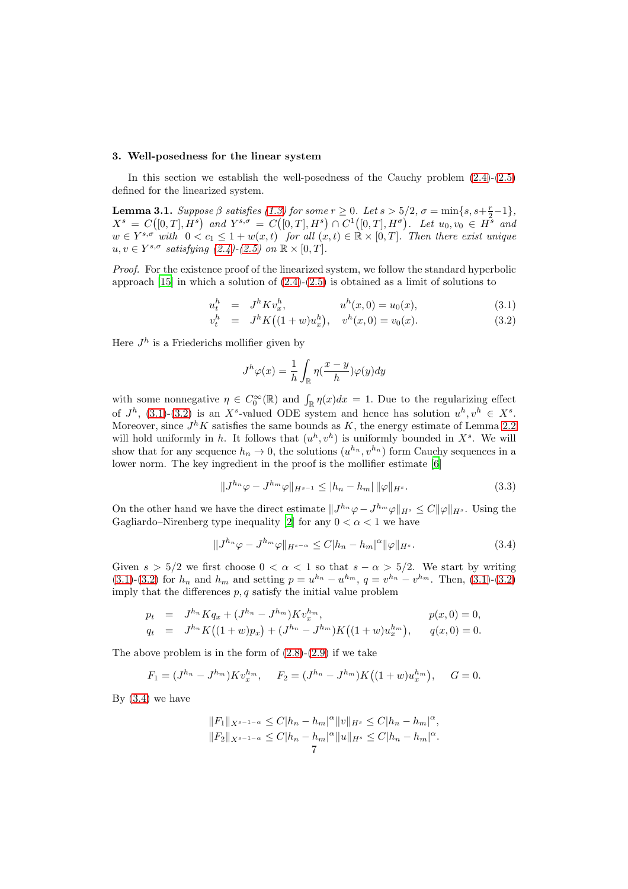#### <span id="page-6-0"></span>3. Well-posedness for the linear system

In this section we establish the well-posedness of the Cauchy problem  $(2.4)-(2.5)$  $(2.4)-(2.5)$ defined for the linearized system.

<span id="page-6-3"></span>**Lemma 3.1.** Suppose  $\beta$  satisfies [\(1.3\)](#page-2-0) for some  $r \geq 0$ . Let  $s > 5/2$ ,  $\sigma = \min\{s, s+\frac{r}{2}-1\}$ ,  $X^s = C([0,T], \dot{H}^s)$  and  $Y^{s,\sigma} = C([0,T], H^s) \cap C^1([0,T], H^{\sigma})$ . Let  $u_0, v_0 \in \dot{H}^s$  and  $w \in Y^{s,\sigma}$  with  $0 < c_1 \leq 1 + w(x,t)$  for all  $(x,t) \in \mathbb{R} \times [0,T]$ . Then there exist unique  $u, v \in Y^{s, \sigma}$  satisfying  $(2.4)-(2.5)$  $(2.4)-(2.5)$  on  $\mathbb{R} \times [0, T]$ .

Proof. For the existence proof of the linearized system, we follow the standard hyperbolic approach [\[15\]](#page-16-6) in which a solution of [\(2.4\)](#page-4-0)-[\(2.5\)](#page-4-0) is obtained as a limit of solutions to

<span id="page-6-1"></span>
$$
u_t^h = J^h K v_x^h, \qquad u^h(x,0) = u_0(x), \qquad (3.1)
$$

$$
v_t^h = J^h K((1+w)u_x^h), \quad v^h(x,0) = v_0(x). \tag{3.2}
$$

Here  $J^h$  is a Friederichs mollifier given by

$$
J^h\varphi(x) = \frac{1}{h} \int_{\mathbb{R}} \eta(\frac{x-y}{h}) \varphi(y) dy
$$

with some nonnegative  $\eta \in C_0^{\infty}(\mathbb{R})$  and  $\int_{\mathbb{R}} \eta(x) dx = 1$ . Due to the regularizing effect of  $J^h$ , [\(3.1\)](#page-6-1)-[\(3.2\)](#page-6-1) is an X<sup>s</sup>-valued ODE system and hence has solution  $u^h, v^h \in X^s$ . Moreover, since  $J^h K$  satisfies the same bounds as K, the energy estimate of Lemma [2.2](#page-4-5) will hold uniformly in h. It follows that  $(u^h, v^h)$  is uniformly bounded in  $X^s$ . We will show that for any sequence  $h_n \to 0$ , the solutions  $(u^{h_n}, v^{h_n})$  form Cauchy sequences in a lower norm. The key ingredient in the proof is the mollifier estimate [\[6](#page-16-7)]

<span id="page-6-2"></span>
$$
||J^{h_n}\varphi - J^{h_m}\varphi||_{H^{s-1}} \le |h_n - h_m| ||\varphi||_{H^s}.
$$
\n(3.3)

On the other hand we have the direct estimate  $||J^{h_n}\varphi-J^{h_m}\varphi||_{H^s} \leq C||\varphi||_{H^s}$ . Using the Gagliardo–Nirenberg type inequality [\[2\]](#page-16-8) for any  $0 < \alpha < 1$  we have

$$
||J^{h_n}\varphi - J^{h_m}\varphi||_{H^{s-\alpha}} \le C|h_n - h_m|^\alpha ||\varphi||_{H^s}.
$$
\n(3.4)

Given  $s > 5/2$  we first choose  $0 < \alpha < 1$  so that  $s - \alpha > 5/2$ . We start by writing [\(3.1\)](#page-6-1)-[\(3.2\)](#page-6-1) for  $h_n$  and  $h_m$  and setting  $p = u^{h_n} - u^{h_m}$ ,  $q = v^{h_n} - v^{h_m}$ . Then, [\(3.1\)](#page-6-1)-(3.2) imply that the differences  $p, q$  satisfy the initial value problem

$$
p_t = J^{h_n} K q_x + (J^{h_n} - J^{h_m}) K v_x^{h_m}, \qquad p(x, 0) = 0,
$$
  
\n
$$
q_t = J^{h_n} K ((1 + w) p_x) + (J^{h_n} - J^{h_m}) K ((1 + w) u_x^{h_m}), \qquad q(x, 0) = 0.
$$

The above problem is in the form of  $(2.8)-(2.9)$  $(2.8)-(2.9)$  if we take

$$
F_1 = (J^{h_n} - J^{h_m}) K v_x^{h_m}, \quad F_2 = (J^{h_n} - J^{h_m}) K ((1+w) u_x^{h_m}), \quad G = 0.
$$

By  $(3.4)$  we have

$$
||F_1||_{X^{s-1-\alpha}} \leq C|h_n - h_m|^{\alpha} ||v||_{H^s} \leq C|h_n - h_m|^{\alpha},
$$
  

$$
||F_2||_{X^{s-1-\alpha}} \leq C|h_n - h_m|^{\alpha} ||u||_{H^s} \leq C|h_n - h_m|^{\alpha}.
$$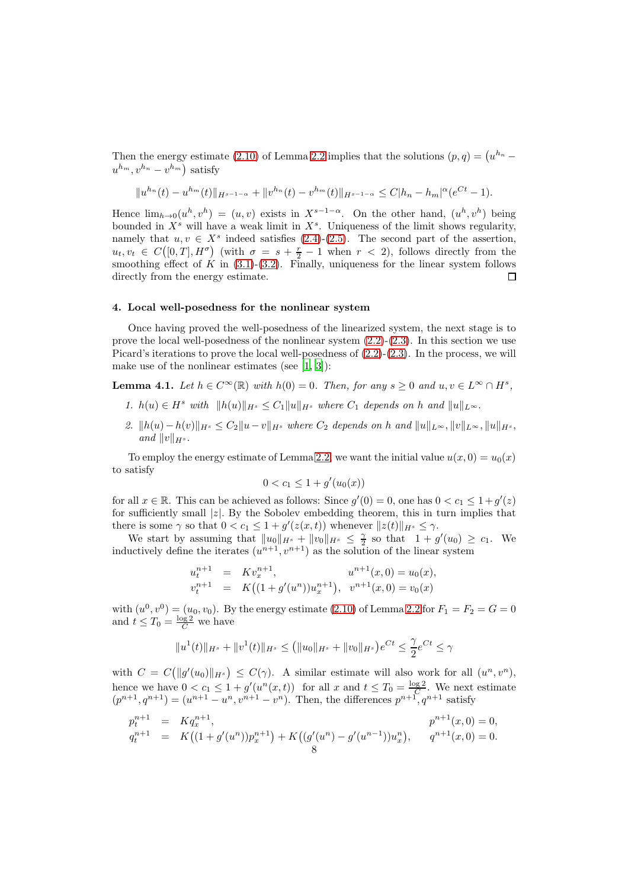Then the energy estimate [\(2.10\)](#page-4-4) of Lemma [2.2](#page-4-5) implies that the solutions  $(p, q) = (u^{h_n}$  $u^{h_m}, v^{h_n} - v^{h_m}$ ) satisfy

$$
||u^{h_n}(t) - u^{h_m}(t)||_{H^{s-1-\alpha}} + ||v^{h_n}(t) - v^{h_m}(t)||_{H^{s-1-\alpha}} \leq C|h_n - h_m|^{\alpha} (e^{Ct} - 1).
$$

Hence  $\lim_{h\to 0}(u^h, v^h) = (u, v)$  exists in  $X^{s-1-\alpha}$ . On the other hand,  $(u^h, v^h)$  being bounded in  $X^s$  will have a weak limit in  $X^s$ . Uniqueness of the limit shows regularity, namely that  $u, v \in X^s$  indeed satisfies [\(2.4\)](#page-4-0)-[\(2.5\)](#page-4-0). The second part of the assertion,  $u_t, v_t \in C([0,T], H^{\sigma})$  (with  $\sigma = s + \frac{r}{2} - 1$  when  $r < 2$ ), follows directly from the smoothing effect of  $\hat{K}$  in [\(3.1\)](#page-6-1)-[\(3.2\)](#page-6-1). Finally, uniqueness for the linear system follows directly from the energy estimate.  $\Box$ 

## <span id="page-7-0"></span>4. Local well-posedness for the nonlinear system

Once having proved the well-posedness of the linearized system, the next stage is to prove the local well-posedness of the nonlinear system  $(2.2)-(2.3)$  $(2.2)-(2.3)$ . In this section we use Picard's iterations to prove the local well-posedness of  $(2.2)-(2.3)$  $(2.2)-(2.3)$ . In the process, we will make use of the nonlinear estimates (see [\[1](#page-16-9), [3\]](#page-16-10)):

<span id="page-7-1"></span>**Lemma 4.1.** Let  $h \in C^{\infty}(\mathbb{R})$  with  $h(0) = 0$ . Then, for any  $s \geq 0$  and  $u, v \in L^{\infty} \cap H^s$ ,

- 1.  $h(u) \in H^s$  with  $||h(u)||_{H^s} \leq C_1 ||u||_{H^s}$  where  $C_1$  depends on h and  $||u||_{L^{\infty}}$ .
- 2.  $||h(u)-h(v)||_{H^s} \leq C_2||u-v||_{H^s}$  where  $C_2$  depends on h and  $||u||_{L^{\infty}}, ||v||_{L^{\infty}}, ||u||_{H^s}$ , and  $||v||_{H^s}$ .

To employ the energy estimate of Lemma [2.2,](#page-4-5) we want the initial value  $u(x, 0) = u_0(x)$ to satisfy

$$
0 < c_1 \le 1 + g'(u_0(x))
$$

for all  $x \in \mathbb{R}$ . This can be achieved as follows: Since  $g'(0) = 0$ , one has  $0 < c_1 \leq 1 + g'(z)$ for sufficiently small  $|z|$ . By the Sobolev embedding theorem, this in turn implies that there is some  $\gamma$  so that  $0 < c_1 \leq 1 + g'(z(x, t))$  whenever  $||z(t)||_{H^s} \leq \gamma$ .

We start by assuming that  $||u_0||_{H^s} + ||v_0||_{H^s} \leq \frac{\gamma}{2}$  so that  $1 + g'(u_0) \geq c_1$ . We inductively define the iterates  $(u^{n+1}, v^{n+1})$  as the solution of the linear system

$$
u_t^{n+1} = Kv_x^{n+1}, \t u^{n+1}(x, 0) = u_0(x),
$$
  
\n
$$
v_t^{n+1} = K((1+g'(u^n))u_x^{n+1}), \t v^{n+1}(x, 0) = v_0(x)
$$

with  $(u^0, v^0) = (u_0, v_0)$ . By the energy estimate [\(2.10\)](#page-4-4) of Lemma [2.2](#page-4-5) for  $F_1 = F_2 = G = 0$ and  $t \leq T_0 = \frac{\log 2}{C}$  we have

$$
||u^{1}(t)||_{H^{s}} + ||v^{1}(t)||_{H^{s}} \leq (||u_{0}||_{H^{s}} + ||v_{0}||_{H^{s}})e^{Ct} \leq \frac{\gamma}{2}e^{Ct} \leq \gamma
$$

with  $C = C(||g'(u_0)||_{H^s}) \leq C(\gamma)$ . A similar estimate will also work for all  $(u^n, v^n)$ , hence we have  $0 < c_1 \leq 1 + g'(u^n(x,t))$  for all x and  $t \leq T_0 = \frac{\log 2}{C}$ . We next estimate  $(p^{n+1}, q^{n+1}) = (u^{n+1} - u^n, v^{n+1} - v^n)$ . Then, the differences  $p^{n+1}, q^{n+1}$  satisfy

$$
p_t^{n+1} = Kq_x^{n+1},
$$
  
\n
$$
q_t^{n+1} = K((1+g'(u^n))p_x^{n+1}) + K((g'(u^n) - g'(u^{n-1}))u_x^n),
$$
  
\n
$$
p^{n+1}(x, 0) = 0,
$$
  
\n
$$
q^{n+1}(x, 0) = 0.
$$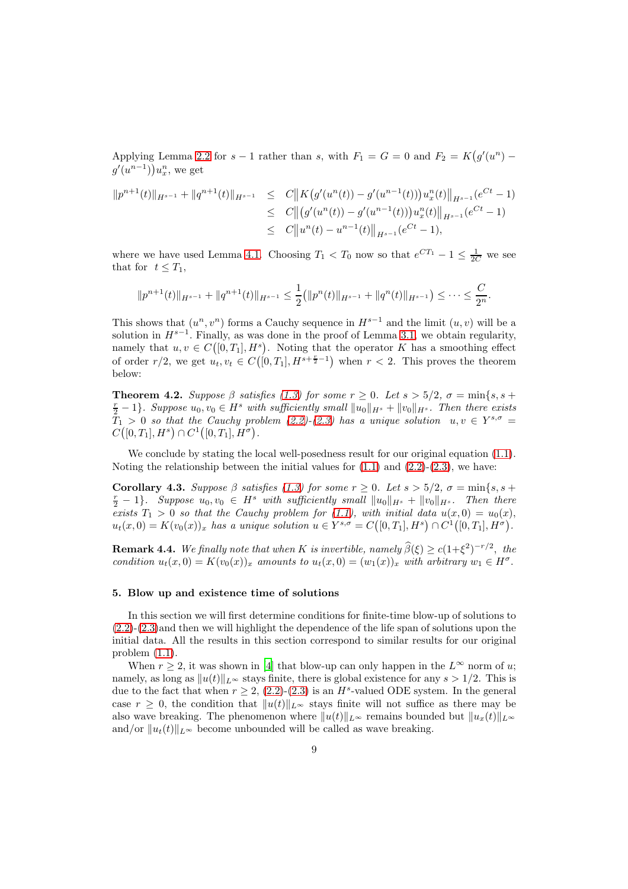Applying Lemma [2.2](#page-4-5) for  $s-1$  rather than s, with  $F_1 = G = 0$  and  $F_2 = K(g'(u^n))$  $g'(u^{n-1})\big)u_x^n$ , we get

$$
||p^{n+1}(t)||_{H^{s-1}} + ||q^{n+1}(t)||_{H^{s-1}} \leq C||K(g'(u^n(t)) - g'(u^{n-1}(t)))u_x^n(t)||_{H^{s-1}}(e^{Ct} - 1)
$$
  
\n
$$
\leq C||(g'(u^n(t)) - g'(u^{n-1}(t)))u_x^n(t)||_{H^{s-1}}(e^{Ct} - 1)
$$
  
\n
$$
\leq C||u^n(t) - u^{n-1}(t)||_{H^{s-1}}(e^{Ct} - 1),
$$

where we have used Lemma [4.1.](#page-7-1) Choosing  $T_1 < T_0$  now so that  $e^{CT_1} - 1 \leq \frac{1}{2C}$  we see that for  $t \leq T_1$ ,

$$
||p^{n+1}(t)||_{H^{s-1}} + ||q^{n+1}(t)||_{H^{s-1}} \le \frac{1}{2} (||p^n(t)||_{H^{s-1}} + ||q^n(t)||_{H^{s-1}}) \le \cdots \le \frac{C}{2^n}.
$$

This shows that  $(u^n, v^n)$  forms a Cauchy sequence in  $H^{s-1}$  and the limit  $(u, v)$  will be a solution in  $H^{s-1}$ . Finally, as was done in the proof of Lemma [3.1,](#page-6-3) we obtain regularity, namely that  $u, v \in C([0, T_1], H^s)$ . Noting that the operator K has a smoothing effect of order  $r/2$ , we get  $u_t, v_t \in C([0, T_1], H^{s+\frac{r}{2}-1})$  when  $r < 2$ . This proves the theorem below:

**Theorem 4.2.** Suppose  $\beta$  satisfies [\(1.3\)](#page-2-0) for some  $r \ge 0$ . Let  $s > 5/2$ ,  $\sigma = \min\{s, s + 1\}$  $\frac{r}{2} - 1$ . Suppose  $u_0, v_0 \in H^s$  with sufficiently small  $||u_0||_{H^s} + ||v_0||_{H^s}$ . Then there exists  $\bar{T}_1 > 0$  so that the Cauchy problem [\(2.2\)](#page-4-6)-[\(2.3\)](#page-4-6) has a unique solution  $u, v \in Y^{s, \sigma} =$  $C([0,T_1], H^s) \cap C^1([0,T_1], H^{\sigma}).$ 

We conclude by stating the local well-posedness result for our original equation  $(1.1)$ . Noting the relationship between the initial values for  $(1.1)$  and  $(2.2)-(2.3)$  $(2.2)-(2.3)$ , we have:

<span id="page-8-1"></span>Corollary 4.3. Suppose  $\beta$  satisfies [\(1.3\)](#page-2-0) for some  $r \geq 0$ . Let  $s > 5/2$ ,  $\sigma = \min\{s, s + 1\}$  $\frac{r}{2} - 1$ . Suppose  $u_0, v_0 \in H^s$  with sufficiently small  $||u_0||_{H^s} + ||v_0||_{H^s}$ . Then there exists  $T_1 > 0$  so that the Cauchy problem for [\(1.1\)](#page-0-0), with initial data  $u(x, 0) = u_0(x)$ ,  $u_t(x,0) = K(v_0(x))_x$  has a unique solution  $u \in Y^{s,\sigma} = C([0,T_1], H^s) \cap C^1([0,T_1], H^{\sigma}).$ 

**Remark 4.4.** We finally note that when K is invertible, namely  $\widehat{\beta}(\xi) \ge c(1+\xi^2)^{-r/2}$ , the condition  $u_t(x,0) = K(v_0(x))_x$  amounts to  $u_t(x,0) = (w_1(x))_x$  with arbitrary  $w_1 \in H^{\sigma}$ .

# <span id="page-8-0"></span>5. Blow up and existence time of solutions

In this section we will first determine conditions for finite-time blow-up of solutions to [\(2.2\)](#page-4-6)-[\(2.3\)](#page-4-6)and then we will highlight the dependence of the life span of solutions upon the initial data. All the results in this section correspond to similar results for our original problem [\(1.1\)](#page-0-0).

When  $r \geq 2$ , it was shown in [\[4](#page-16-0)] that blow-up can only happen in the  $L^{\infty}$  norm of u; namely, as long as  $||u(t)||_{L^{\infty}}$  stays finite, there is global existence for any  $s > 1/2$ . This is due to the fact that when  $r \geq 2$ , [\(2.2\)](#page-4-6)-[\(2.3\)](#page-4-6) is an  $H^s$ -valued ODE system. In the general case  $r \geq 0$ , the condition that  $||u(t)||_{L^{\infty}}$  stays finite will not suffice as there may be also wave breaking. The phenomenon where  $||u(t)||_{L^{\infty}}$  remains bounded but  $||u_x(t)||_{L^{\infty}}$ and/or  $||u_t(t)||_{L^{\infty}}$  become unbounded will be called as wave breaking.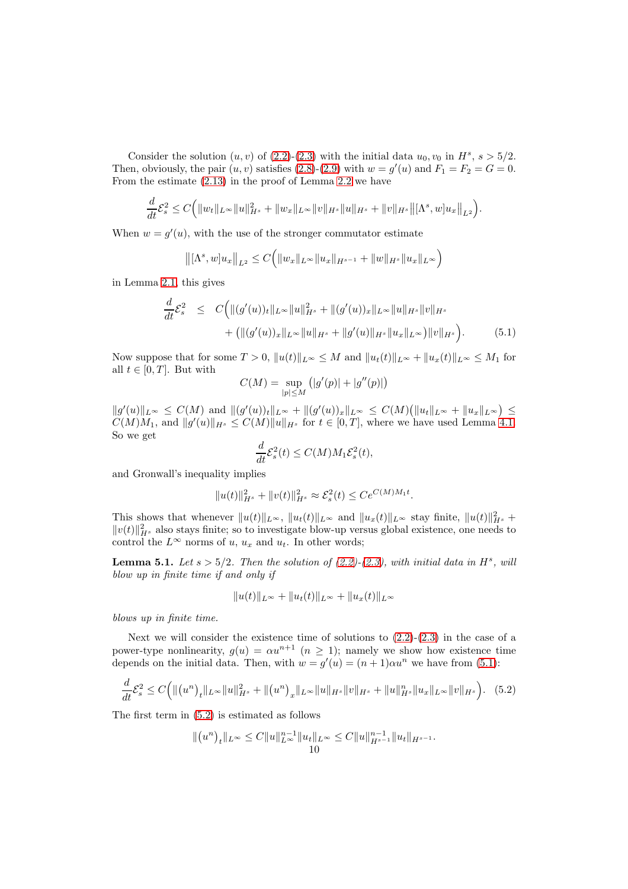Consider the solution  $(u, v)$  of  $(2.2)-(2.3)$  $(2.2)-(2.3)$  with the initial data  $u_0, v_0$  in  $H^s, s > 5/2$ . Then, obviously, the pair  $(u, v)$  satisfies  $(2.8)-(2.9)$  $(2.8)-(2.9)$  with  $w = g'(u)$  and  $F_1 = F_2 = G = 0$ . From the estimate [\(2.13\)](#page-5-1) in the proof of Lemma [2.2](#page-4-5) we have

$$
\frac{d}{dt}\mathcal{E}_s^2 \leq C\Big(\|w_t\|_{L^\infty}\|u\|_{H^s}^2 + \|w_x\|_{L^\infty}\|v\|_{H^s}\|u\|_{H^s} + \|v\|_{H^s}\big\|[\Lambda^s,w]u_x\big\|_{L^2}\Big).
$$

When  $w = g'(u)$ , with the use of the stronger commutator estimate

$$
\left\| [\Lambda^s, w] u_x \right\|_{L^2} \leq C \Big( \|w_x\|_{L^\infty} \|u_x\|_{H^{s-1}} + \|w\|_{H^s} \|u_x\|_{L^\infty} \Big)
$$

in Lemma [2.1,](#page-3-1) this gives

<span id="page-9-0"></span>
$$
\frac{d}{dt}\mathcal{E}_s^2 \leq C \Big( \| (g'(u))_t \|_{L^\infty} \| u \|_{H^s}^2 + \| (g'(u))_x \|_{L^\infty} \| u \|_{H^s} \| v \|_{H^s} \n+ ( \| (g'(u))_x \|_{L^\infty} \| u \|_{H^s} + \| g'(u) \|_{H^s} \| u_x \|_{L^\infty} ) \| v \|_{H^s} \Big). \tag{5.1}
$$

Now suppose that for some  $T > 0$ ,  $||u(t)||_{L^{\infty}} \leq M$  and  $||u_t(t)||_{L^{\infty}} + ||u_x(t)||_{L^{\infty}} \leq M_1$  for all  $t \in [0, T]$ . But with

$$
C(M) = \sup_{|p| \le M} (|g'(p)| + |g''(p)|)
$$

 $||g'(u)||_{L^{\infty}} \leq C(M)$  and  $||(g'(u))_t||_{L^{\infty}} + ||(g'(u))_x||_{L^{\infty}} \leq C(M) (||u_t||_{L^{\infty}} + ||u_x||_{L^{\infty}}) \leq$  $C(M)M_1$ , and  $||g'(u)||_{H^s} \leq C(M)||u||_{H^s}$  for  $t \in [0, T]$ , where we have used Lemma [4.1.](#page-7-1) So we get

$$
\frac{d}{dt}\mathcal{E}_s^2(t) \le C(M)M_1\mathcal{E}_s^2(t),
$$

and Gronwall's inequality implies

$$
||u(t)||_{H^s}^2 + ||v(t)||_{H^s}^2 \approx \mathcal{E}_s^2(t) \le Ce^{C(M)M_1 t}.
$$

This shows that whenever  $||u(t)||_{L^{\infty}}$ ,  $||u_t(t)||_{L^{\infty}}$  and  $||u_x(t)||_{L^{\infty}}$  stay finite,  $||u(t)||_{H^s}^2 +$  $||v(t)||_{H^s}^2$  also stays finite; so to investigate blow-up versus global existence, one needs to control the  $L^{\infty}$  norms of u,  $u_x$  and  $u_t$ . In other words;

**Lemma 5.1.** Let  $s > 5/2$ . Then the solution of  $(2.2)-(2.3)$  $(2.2)-(2.3)$ , with initial data in  $H<sup>s</sup>$ , will blow up in finite time if and only if

<span id="page-9-1"></span>
$$
||u(t)||_{L^{\infty}} + ||u_t(t)||_{L^{\infty}} + ||u_x(t)||_{L^{\infty}}
$$

blows up in finite time.

Next we will consider the existence time of solutions to  $(2.2)-(2.3)$  $(2.2)-(2.3)$  in the case of a power-type nonlinearity,  $g(u) = \alpha u^{n+1}$   $(n \geq 1)$ ; namely we show how existence time depends on the initial data. Then, with  $w = g'(u) = (n + 1)\alpha u^n$  we have from [\(5.1\)](#page-9-0):

$$
\frac{d}{dt}\mathcal{E}_s^2 \le C \Big( \| (u^n)_t \|_{L^\infty} \|u\|_{H^s}^2 + \| (u^n)_x \|_{L^\infty} \|u\|_{H^s} \|v\|_{H^s} + \|u\|_{H^s}^n \|u_x\|_{L^\infty} \|v\|_{H^s} \Big). \tag{5.2}
$$

The first term in [\(5.2\)](#page-9-1) is estimated as follows

$$
|| (u^n)_t ||_{L^{\infty}} \leq C ||u||_{L^{\infty}}^{n-1} ||u_t ||_{L^{\infty}} \leq C ||u||_{H^{s-1}}^{n-1} ||u_t ||_{H^{s-1}}.
$$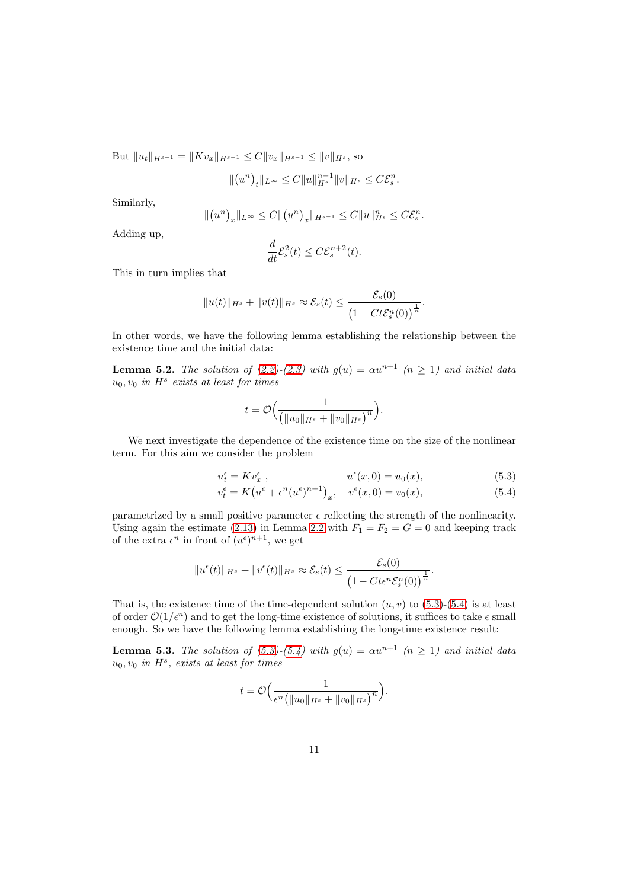But  $||u_t||_{H^{s-1}} = ||Kv_x||_{H^{s-1}} \leq C||v_x||_{H^{s-1}} \leq ||v||_{H^s}$ , so

$$
\|(u^n)_t\|_{L^\infty}\leq C\|u\|_{H^s}^{n-1}\|v\|_{H^s}\leq C\mathcal{E}^n_s.
$$

Similarly,

$$
\|(u^n)_x\|_{L^\infty} \le C \|(u^n)_x\|_{H^{s-1}} \le C \|u\|_{H^s}^n \le C \mathcal{E}_s^n.
$$

Adding up,

$$
\frac{d}{dt}\mathcal{E}_s^2(t) \le C \mathcal{E}_s^{n+2}(t).
$$

This in turn implies that

$$
||u(t)||_{H^s} + ||v(t)||_{H^s} \approx \mathcal{E}_s(t) \le \frac{\mathcal{E}_s(0)}{\left(1 - Ct\mathcal{E}_s^n(0)\right)^{\frac{1}{n}}}.
$$

In other words, we have the following lemma establishing the relationship between the existence time and the initial data:

**Lemma 5.2.** The solution of [\(2.2\)](#page-4-6)-[\(2.3\)](#page-4-6) with  $g(u) = \alpha u^{n+1}$  ( $n \ge 1$ ) and initial data  $u_0, v_0$  in  $H^s$  exists at least for times

$$
t = \mathcal{O}\Big(\frac{1}{\big(\|u_0\|_{H^s} + \|v_0\|_{H^s}\big)^n}\Big).
$$

We next investigate the dependence of the existence time on the size of the nonlinear term. For this aim we consider the problem

<span id="page-10-0"></span>
$$
u_t^{\epsilon} = Kv_x^{\epsilon} , \qquad \qquad u^{\epsilon}(x, 0) = u_0(x), \qquad (5.3)
$$

$$
v_t^{\epsilon} = K(u^{\epsilon} + \epsilon^n(u^{\epsilon})^{n+1})_x, \quad v^{\epsilon}(x,0) = v_0(x), \tag{5.4}
$$

parametrized by a small positive parameter  $\epsilon$  reflecting the strength of the nonlinearity. Using again the estimate [\(2.13\)](#page-5-1) in Lemma [2.2](#page-4-5) with  $F_1 = F_2 = G = 0$  and keeping track of the extra  $\epsilon^n$  in front of  $(u^{\epsilon})^{n+1}$ , we get

$$
||u^{\epsilon}(t)||_{H^{s}} + ||v^{\epsilon}(t)||_{H^{s}} \approx \mathcal{E}_{s}(t) \leq \frac{\mathcal{E}_{s}(0)}{\left(1 - Cte^{n}\mathcal{E}_{s}^{n}(0)\right)^{\frac{1}{n}}}.
$$

That is, the existence time of the time-dependent solution  $(u, v)$  to  $(5.3)-(5.4)$  $(5.3)-(5.4)$  is at least of order  $\mathcal{O}(1/\epsilon^n)$  and to get the long-time existence of solutions, it suffices to take  $\epsilon$  small enough. So we have the following lemma establishing the long-time existence result:

<span id="page-10-1"></span>**Lemma 5.3.** The solution of [\(5.3\)](#page-10-0)-[\(5.4\)](#page-10-0) with  $g(u) = \alpha u^{n+1}$   $(n \ge 1)$  and initial data  $u_0, v_0$  in  $H^s$ , exists at least for times

$$
t = \mathcal{O}\Big(\frac{1}{\epsilon^n \big(\|u_0\|_{H^s} + \|v_0\|_{H^s}\big)^n}\Big).
$$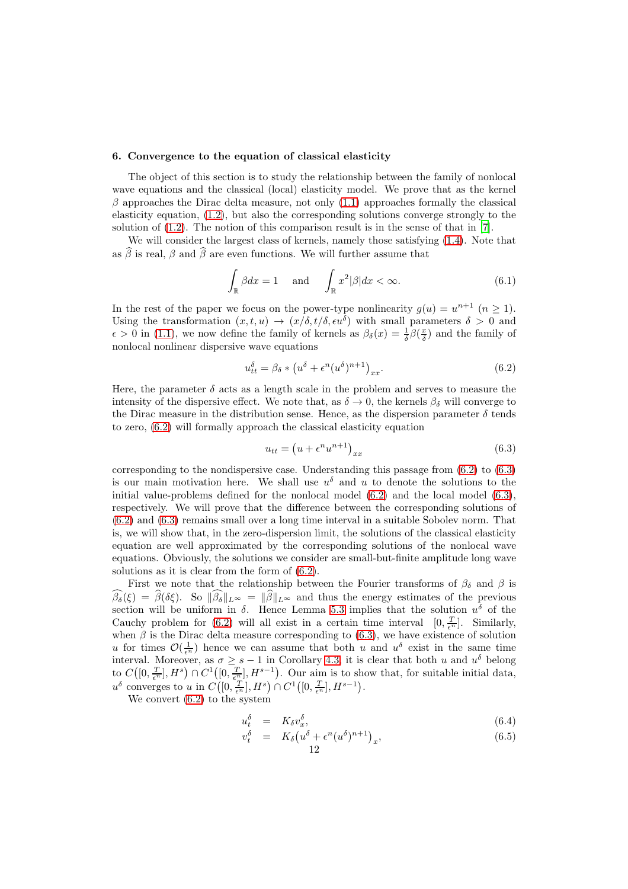## <span id="page-11-0"></span>6. Convergence to the equation of classical elasticity

The object of this section is to study the relationship between the family of nonlocal wave equations and the classical (local) elasticity model. We prove that as the kernel  $\beta$  approaches the Dirac delta measure, not only [\(1.1\)](#page-0-0) approaches formally the classical elasticity equation, [\(1.2\)](#page-1-0), but also the corresponding solutions converge strongly to the solution of [\(1.2\)](#page-1-0). The notion of this comparison result is in the sense of that in [\[7](#page-16-3)].

We will consider the largest class of kernels, namely those satisfying [\(1.4\)](#page-2-1). Note that as  $\widehat{\beta}$  is real,  $\beta$  and  $\widehat{\beta}$  are even functions. We will further assume that

<span id="page-11-3"></span>
$$
\int_{\mathbb{R}} \beta dx = 1 \quad \text{and} \quad \int_{\mathbb{R}} x^2 |\beta| dx < \infty. \tag{6.1}
$$

In the rest of the paper we focus on the power-type nonlinearity  $g(u) = u^{n+1}$   $(n \ge 1)$ . Using the transformation  $(x, t, u) \rightarrow (x/\delta, t/\delta, \epsilon u^{\delta})$  with small parameters  $\delta > 0$  and  $\epsilon > 0$  in [\(1.1\)](#page-0-0), we now define the family of kernels as  $\beta_{\delta}(x) = \frac{1}{\delta} \beta(\frac{x}{\delta})$  and the family of nonlocal nonlinear dispersive wave equations

<span id="page-11-1"></span>
$$
u_{tt}^{\delta} = \beta_{\delta} * (u^{\delta} + \epsilon^n (u^{\delta})^{n+1})_{xx}.
$$
\n(6.2)

Here, the parameter  $\delta$  acts as a length scale in the problem and serves to measure the intensity of the dispersive effect. We note that, as  $\delta \to 0$ , the kernels  $\beta_{\delta}$  will converge to the Dirac measure in the distribution sense. Hence, as the dispersion parameter  $\delta$  tends to zero, [\(6.2\)](#page-11-1) will formally approach the classical elasticity equation

<span id="page-11-2"></span>
$$
u_{tt} = \left(u + \epsilon^n u^{n+1}\right)_{xx} \tag{6.3}
$$

corresponding to the nondispersive case. Understanding this passage from  $(6.2)$  to  $(6.3)$ is our main motivation here. We shall use  $u^{\delta}$  and u to denote the solutions to the initial value-problems defined for the nonlocal model [\(6.2\)](#page-11-1) and the local model [\(6.3\)](#page-11-2), respectively. We will prove that the difference between the corresponding solutions of [\(6.2\)](#page-11-1) and [\(6.3\)](#page-11-2) remains small over a long time interval in a suitable Sobolev norm. That is, we will show that, in the zero-dispersion limit, the solutions of the classical elasticity equation are well approximated by the corresponding solutions of the nonlocal wave equations. Obviously, the solutions we consider are small-but-finite amplitude long wave solutions as it is clear from the form of [\(6.2\)](#page-11-1).

First we note that the relationship between the Fourier transforms of  $\beta_{\delta}$  and  $\beta$  is  $\beta_{\delta}(\xi) = \beta(\delta \xi)$ . So  $\|\beta_{\delta}\|_{L^{\infty}} = \|\beta\|_{L^{\infty}}$  and thus the energy estimates of the previous section will be uniform in  $\delta$ . Hence Lemma [5.3](#page-10-1) implies that the solution  $u^{\delta}$  of the Cauchy problem for [\(6.2\)](#page-11-1) will all exist in a certain time interval  $[0, \frac{T}{\epsilon^n}]$ . Similarly, when  $\beta$  is the Dirac delta measure corresponding to [\(6.3\)](#page-11-2), we have existence of solution u for times  $\mathcal{O}(\frac{1}{\epsilon^n})$  hence we can assume that both u and  $u^{\delta}$  exist in the same time interval. Moreover, as  $\sigma \geq s-1$  in Corollary [4.3,](#page-8-1) it is clear that both u and  $u^{\delta}$  belong to  $C([0, \frac{T}{\epsilon^n}], H^s) \cap C^1([0, \frac{T}{\epsilon^n}], H^{s-1})$ . Our aim is to show that, for suitable initial data,  $u^{\delta}$  converges to u in  $C([0, \frac{T}{\epsilon^n}], H^s) \cap C^1([0, \frac{T}{\epsilon^n}], H^{s-1}).$ 

We convert [\(6.2\)](#page-11-1) to the system

<span id="page-11-4"></span>
$$
u_t^{\delta} = K_{\delta} v_x^{\delta}, \tag{6.4}
$$

$$
v_t^{\delta} = K_{\delta} \left( u^{\delta} + \epsilon^n (u^{\delta})^{n+1} \right)_x, \tag{6.5}
$$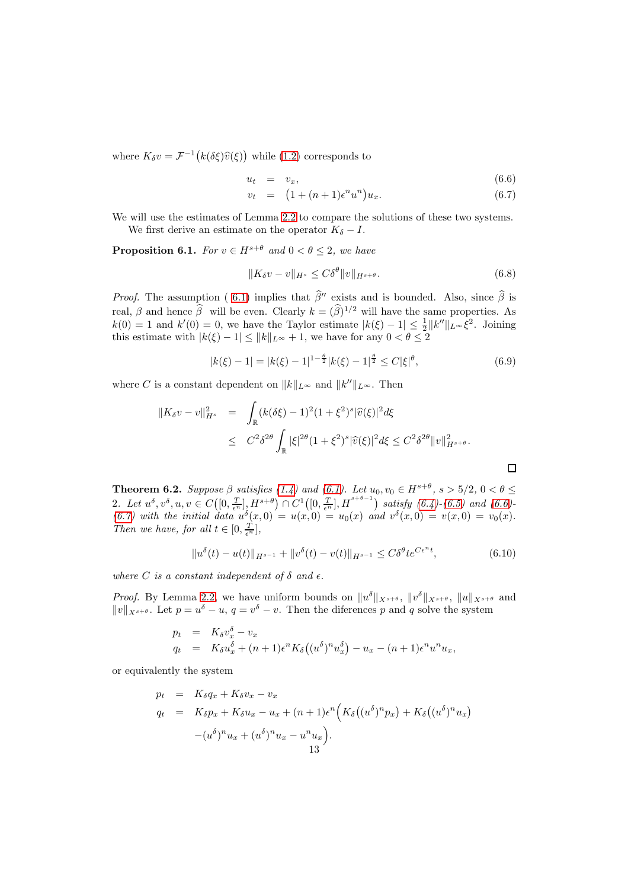where  $K_{\delta}v = \mathcal{F}^{-1}\big(k(\delta\xi)\widehat{v}(\xi)\big)$  while [\(1.2\)](#page-1-0) corresponds to

<span id="page-12-0"></span>
$$
u_t = v_x, \t\t(6.6)
$$

$$
v_t = (1 + (n+1)\epsilon^n u^n) u_x.
$$
 (6.7)

We will use the estimates of Lemma [2.2](#page-4-5) to compare the solutions of these two systems. We first derive an estimate on the operator  $K_{\delta} - I$ .

<span id="page-12-1"></span>**Proposition 6.1.** For  $v \in H^{s+\theta}$  and  $0 < \theta \leq 2$ , we have

$$
||K_{\delta}v - v||_{H^{s}} \leq C\delta^{\theta} ||v||_{H^{s+\theta}}.
$$
\n(6.8)

*Proof.* The assumption (6.1) implies that  $\hat{\beta}^{\prime\prime}$  exists and is bounded. Also, since  $\hat{\beta}$  is real,  $\beta$  and hence  $\hat{\beta}$  will be even. Clearly  $k = (\hat{\beta})^{1/2}$  will have the same properties. As  $k(0) = 1$  and  $k'(0) = 0$ , we have the Taylor estimate  $|k(\xi) - 1| \leq \frac{1}{2} ||k''||_{L^{\infty}} \xi^{2}$ . Joining this estimate with  $|k(\xi) - 1| \le ||k||_{L^{\infty}} + 1$ , we have for any  $0 < \theta \le 2$ 

$$
|k(\xi) - 1| = |k(\xi) - 1|^{1 - \frac{\theta}{2}} |k(\xi) - 1|^{\frac{\theta}{2}} \le C |\xi|^{\theta}, \tag{6.9}
$$

where C is a constant dependent on  $||k||_{L^{\infty}}$  and  $||k''||_{L^{\infty}}$ . Then

$$
\begin{array}{rcl} \|K_{\delta}v - v\|_{H^{s}}^{2} & = & \displaystyle \int_{\mathbb{R}} (k(\delta\xi) - 1)^{2} (1 + \xi^{2})^{s} |\widehat{v}(\xi)|^{2} d\xi \\ \\ & \leq & C^{2} \delta^{2\theta} \int_{\mathbb{R}} |\xi|^{2\theta} (1 + \xi^{2})^{s} |\widehat{v}(\xi)|^{2} d\xi \leq C^{2} \delta^{2\theta} \|v\|_{H^{s+\theta}}^{2} .\end{array}
$$

<span id="page-12-3"></span>**Theorem 6.2.** Suppose  $\beta$  satisfies [\(1.4\)](#page-2-1) and [\(6.1\)](#page-11-3). Let  $u_0, v_0 \in H^{s+\theta}, s > 5/2, 0 < \theta \le$ 2. Let  $u^{\delta}, v^{\delta}, u, v \in C([0, \frac{T}{\epsilon^n}], H^{s+\theta}) \cap C^1([0, \frac{T}{\epsilon^n}], H^{s+\theta-1})$  satisfy  $(6.4)-(6.5)$  $(6.4)-(6.5)$  and  $(6.6)$ -[\(6.7\)](#page-12-0) with the initial data  $u^{\delta}(x,0) = u(x,0) = u_0(x)$  and  $v^{\delta}(x,0) = v(x,0) = v_0(x)$ . Then we have, for all  $t \in [0, \frac{T}{\epsilon^n}],$ 

<span id="page-12-2"></span>
$$
||u^{\delta}(t) - u(t)||_{H^{s-1}} + ||v^{\delta}(t) - v(t)||_{H^{s-1}} \leq C\delta^{\theta}t e^{C\epsilon^{n}t},
$$
\n(6.10)

where C is a constant independent of  $\delta$  and  $\epsilon$ .

*Proof.* By Lemma [2.2,](#page-4-5) we have uniform bounds on  $||u^{\delta}||_{X^{s+\theta}}$ ,  $||v^{\delta}||_{X^{s+\theta}}$ ,  $||u||_{X^{s+\theta}}$  and  $||v||_{X^{s+\theta}}$ . Let  $p = u^{\delta} - u$ ,  $q = v^{\delta} - v$ . Then the diferences p and q solve the system

$$
p_t = K_\delta v_x^{\delta} - v_x
$$
  
\n
$$
q_t = K_\delta u_x^{\delta} + (n+1)\epsilon^n K_\delta ((u^\delta)^n u_x^{\delta}) - u_x - (n+1)\epsilon^n u^n u_x,
$$

or equivalently the system

$$
p_t = K_{\delta}q_x + K_{\delta}v_x - v_x
$$
  
\n
$$
q_t = K_{\delta}p_x + K_{\delta}u_x - u_x + (n+1)\epsilon^n \Big( K_{\delta} \big( (u^{\delta})^n p_x \big) + K_{\delta} \big( (u^{\delta})^n u_x \big)
$$
  
\n
$$
- (u^{\delta})^n u_x + (u^{\delta})^n u_x - u^n u_x \Big).
$$
  
\n13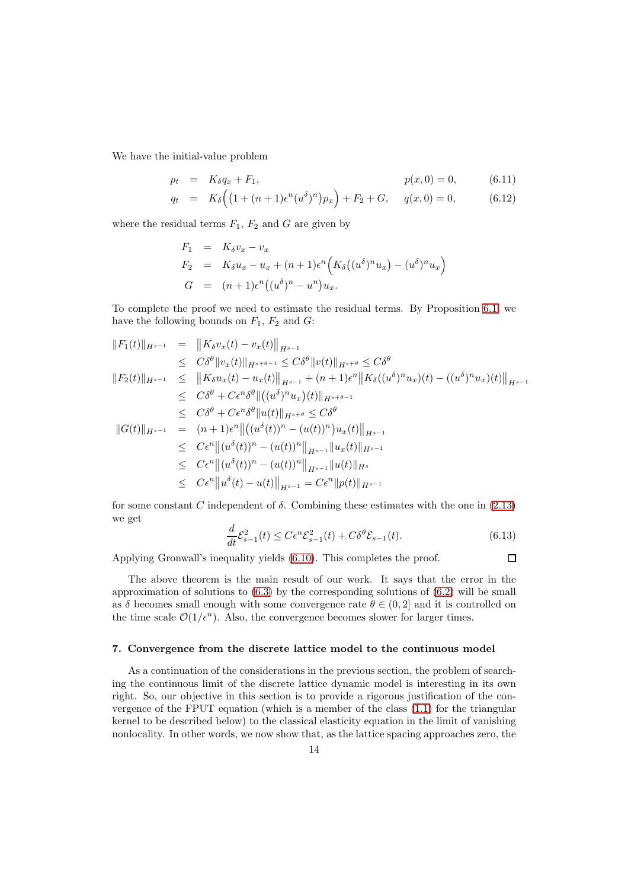We have the initial-value problem

<span id="page-13-1"></span>
$$
p_t = K_{\delta} q_x + F_1, \qquad p(x, 0) = 0, \qquad (6.11)
$$

$$
q_t = K_\delta \left( \left( 1 + (n+1)\epsilon^n (u^\delta)^n \right) p_x \right) + F_2 + G, \quad q(x,0) = 0, \tag{6.12}
$$

where the residual terms  $F_1$ ,  $F_2$  and  $G$  are given by

$$
F_1 = K_{\delta}v_x - v_x
$$
  
\n
$$
F_2 = K_{\delta}u_x - u_x + (n+1)\epsilon^n \Big( K_{\delta} \big( (u^{\delta})^n u_x \big) - (u^{\delta})^n u_x \Big)
$$
  
\n
$$
G = (n+1)\epsilon^n \big( (u^{\delta})^n - u^n \big) u_x.
$$

To complete the proof we need to estimate the residual terms. By Proposition [6.1,](#page-12-1) we have the following bounds on  $F_1$ ,  $F_2$  and  $G$ :

$$
||F_1(t)||_{H^{s-1}} = ||K_\delta v_x(t) - v_x(t)||_{H^{s-1}}\n\leq C\delta^{\theta} ||v_x(t)||_{H^{s+\theta-1}} \leq C\delta^{\theta} ||v(t)||_{H^{s+\theta}} \leq C\delta^{\theta} \n||F_2(t)||_{H^{s-1}} \leq ||K_\delta u_x(t) - u_x(t)||_{H^{s-1}} + (n+1)\epsilon^n ||K_\delta((u^\delta)^n u_x)(t) - ((u^\delta)^n u_x)(t)||_{H^{s-1}}\n\leq C\delta^{\theta} + C\epsilon^n \delta^{\theta} ||(u^\delta)^n u_x)(t)||_{H^{s+\theta-1}}\n\leq C\delta^{\theta} + C\epsilon^n \delta^{\theta} ||u(t)||_{H^{s+\theta}} \leq C\delta^{\theta} \n||G(t)||_{H^{s-1}} = (n+1)\epsilon^n ||((u^\delta(t))^n - (u(t))^n)u_x(t)||_{H^{s-1}}\n\leq C\epsilon^n ||(u^\delta(t))^n - (u(t))^n||_{H^{s-1}} ||u_x(t)||_{H^{s-1}}\n\leq C\epsilon^n ||(u^\delta(t))^n - (u(t))^n||_{H^{s-1}} ||u(t)||_{H^s}
$$
  
\n $\leq C\epsilon^n ||u^\delta(t) - u(t)||_{H^{s-1}} = C\epsilon^n ||p(t)||_{H^{s-1}}$ 

<span id="page-13-2"></span>for some constant C independent of  $\delta$ . Combining these estimates with the one in [\(2.13\)](#page-5-1) we get

$$
\frac{d}{dt}\mathcal{E}_{s-1}^2(t) \le C\epsilon^n \mathcal{E}_{s-1}^2(t) + C\delta^\theta \mathcal{E}_{s-1}(t). \tag{6.13}
$$

 $\Box$ 

Applying Gronwall's inequality yields [\(6.10\)](#page-12-2). This completes the proof.

The above theorem is the main result of our work. It says that the error in the approximation of solutions to  $(6.3)$  by the corresponding solutions of  $(6.2)$  will be small as δ becomes small enough with some convergence rate  $\theta \in (0, 2]$  and it is controlled on the time scale  $\mathcal{O}(1/\epsilon^n)$ . Also, the convergence becomes slower for larger times.

### <span id="page-13-0"></span>7. Convergence from the discrete lattice model to the continuous model

As a continuation of the considerations in the previous section, the problem of searching the continuous limit of the discrete lattice dynamic model is interesting in its own right. So, our objective in this section is to provide a rigorous justification of the convergence of the FPUT equation (which is a member of the class [\(1.1\)](#page-0-0) for the triangular kernel to be described below) to the classical elasticity equation in the limit of vanishing nonlocality. In other words, we now show that, as the lattice spacing approaches zero, the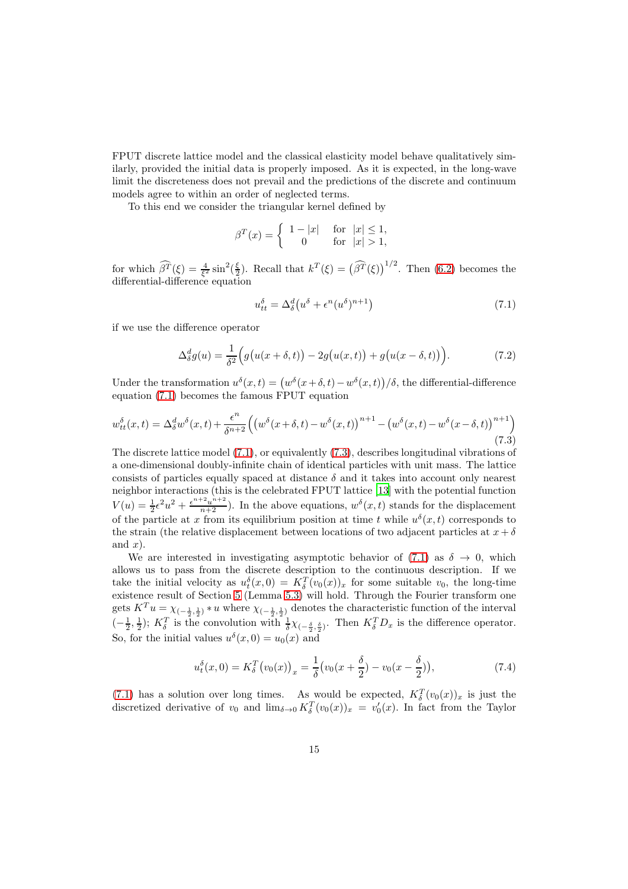FPUT discrete lattice model and the classical elasticity model behave qualitatively similarly, provided the initial data is properly imposed. As it is expected, in the long-wave limit the discreteness does not prevail and the predictions of the discrete and continuum models agree to within an order of neglected terms.

To this end we consider the triangular kernel defined by

$$
\beta^T(x) = \begin{cases} 1 - |x| & \text{for} \quad |x| \le 1, \\ 0 & \text{for} \quad |x| > 1, \end{cases}
$$

for which  $\widehat{\beta}^T(\xi) = \frac{4}{\xi^2} \sin^2(\frac{\xi}{2})$ . Recall that  $k^T(\xi) = (\widehat{\beta}^T(\xi))^{1/2}$ . Then [\(6.2\)](#page-11-1) becomes the differential-difference equation

<span id="page-14-1"></span><span id="page-14-0"></span>
$$
u_{tt}^{\delta} = \Delta_{\delta}^{d} \left( u^{\delta} + \epsilon^{n} (u^{\delta})^{n+1} \right) \tag{7.1}
$$

if we use the difference operator

$$
\Delta_{\delta}^{d}g(u) = \frac{1}{\delta^{2}} \Big( g(u(x+\delta,t)) - 2g(u(x,t)) + g(u(x-\delta,t)) \Big). \tag{7.2}
$$

Under the transformation  $u^{\delta}(x,t) = (w^{\delta}(x+\delta,t) - w^{\delta}(x,t))/\delta$ , the differential-difference equation [\(7.1\)](#page-14-0) becomes the famous FPUT equation

$$
w_{tt}^{\delta}(x,t) = \Delta_{\delta}^{d} w^{\delta}(x,t) + \frac{\epsilon^{n}}{\delta^{n+2}} \left( \left( w^{\delta}(x+\delta,t) - w^{\delta}(x,t) \right)^{n+1} - \left( w^{\delta}(x,t) - w^{\delta}(x-\delta,t) \right)^{n+1} \right)
$$
\n(7.3)

The discrete lattice model [\(7.1\)](#page-14-0), or equivalently [\(7.3\)](#page-14-1), describes longitudinal vibrations of a one-dimensional doubly-infinite chain of identical particles with unit mass. The lattice consists of particles equally spaced at distance  $\delta$  and it takes into account only nearest neighbor interactions (this is the celebrated FPUT lattice [\[13](#page-16-11)] with the potential function  $V(u) = \frac{1}{2} \epsilon^2 u^2 + \frac{\epsilon^{n+2} u^{n+2}}{n+2}$ . In the above equations,  $w^{\delta}(x, t)$  stands for the displacement of the particle at x from its equilibrium position at time t while  $u^{\delta}(x,t)$  corresponds to the strain (the relative displacement between locations of two adjacent particles at  $x + \delta$ and  $x$ ).

We are interested in investigating asymptotic behavior of [\(7.1\)](#page-14-0) as  $\delta \rightarrow 0$ , which allows us to pass from the discrete description to the continuous description. If we take the initial velocity as  $u_t^{\delta}(x,0) = K_{\delta}^T(v_0(x))_x$  for some suitable  $v_0$ , the long-time existence result of Section [5](#page-8-0) (Lemma [5.3\)](#page-10-1) will hold. Through the Fourier transform one gets  $K^T u = \chi_{(-\frac{1}{2},\frac{1}{2})} * u$  where  $\chi_{(-\frac{1}{2},\frac{1}{2})}$  denotes the characteristic function of the interval  $\left(-\frac{1}{2},\frac{1}{2}\right); K_{\delta}^{T}$  is the convolution with  $\frac{1}{\delta}\chi_{\left(-\frac{\delta}{2},\frac{\delta}{2}\right)}$ . Then  $K_{\delta}^{T}D_{x}$  is the difference operator. So, for the initial values  $u^{\delta}(x,0) = u_0(x)$  and

$$
u_t^{\delta}(x,0) = K_{\delta}^T \big( v_0(x) \big)_x = \frac{1}{\delta} \big( v_0(x + \frac{\delta}{2}) - v_0(x - \frac{\delta}{2}) \big), \tag{7.4}
$$

[\(7.1\)](#page-14-0) has a solution over long times. As would be expected,  $K_{\delta}^{T}(v_{0}(x))_{x}$  is just the discretized derivative of  $v_0$  and  $\lim_{\delta \to 0} K_\delta^T(v_0(x))_x = v'_0(x)$ . In fact from the Taylor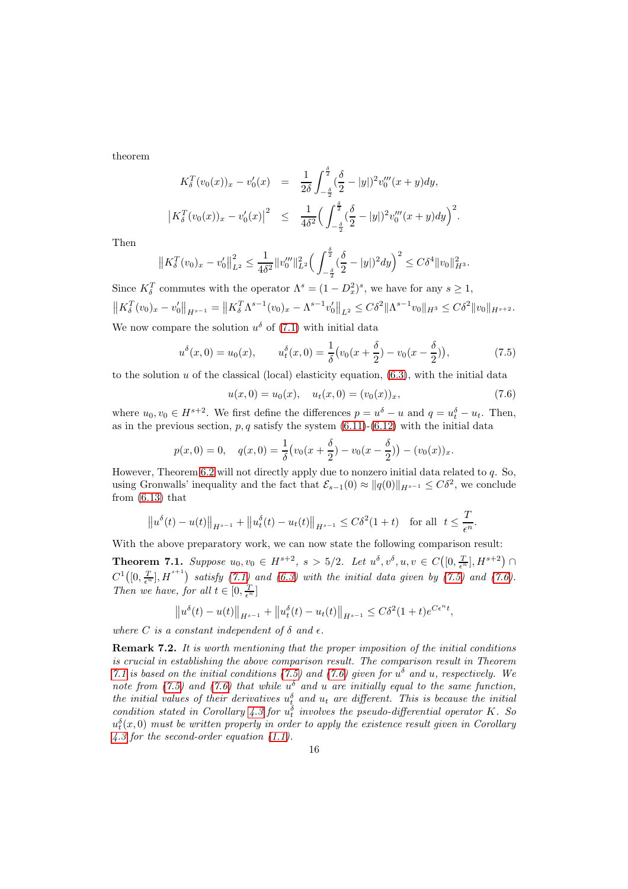theorem

$$
K_{\delta}^{T}(v_{0}(x))_{x} - v'_{0}(x) = \frac{1}{2\delta} \int_{-\frac{\delta}{2}}^{\frac{\delta}{2}} (\frac{\delta}{2} - |y|)^{2} v''_{0}(x + y) dy,
$$
  

$$
\left| K_{\delta}^{T}(v_{0}(x))_{x} - v'_{0}(x) \right|^{2} \leq \frac{1}{4\delta^{2}} \Big( \int_{-\frac{\delta}{2}}^{\frac{\delta}{2}} (\frac{\delta}{2} - |y|)^{2} v''_{0}(x + y) dy \Big)^{2}.
$$

Then

$$
\left\|K_{\delta}^T(v_0)_x - v'_0\right\|_{L^2}^2 \le \frac{1}{4\delta^2} \|v''_0\|_{L^2}^2 \Big(\int_{-\frac{\delta}{2}}^{\frac{\delta}{2}} (\frac{\delta}{2} - |y|)^2 dy\Big)^2 \le C\delta^4 \|v_0\|_{H^3}^2.
$$

Since  $K_{\delta}^T$  commutes with the operator  $\Lambda^s = (1 - D_x^2)^s$ , we have for any  $s \ge 1$ ,  $\left\|K_{\delta}^T(v_0)_x-v_0'\right\|_{H^{s-1}}=\left\|K_{\delta}^T\Lambda^{s-1}(v_0)_x-\Lambda^{s-1}v_0'\right\|_{L^2}\leq C\delta^2\|\Lambda^{s-1}v_0\|_{H^3}\leq C\delta^2\|v_0\|_{H^{s+2}}.$ We now compare the solution  $u^{\delta}$  of [\(7.1\)](#page-14-0) with initial data

$$
u^{\delta}(x,0) = u_0(x), \qquad u_t^{\delta}(x,0) = \frac{1}{\delta}(v_0(x+\frac{\delta}{2}) - v_0(x-\frac{\delta}{2})), \tag{7.5}
$$

to the solution  $u$  of the classical (local) elasticity equation,  $(6.3)$ , with the initial data

<span id="page-15-1"></span><span id="page-15-0"></span>
$$
u(x,0) = u_0(x), \quad u_t(x,0) = (v_0(x))_x,\tag{7.6}
$$

where  $u_0, v_0 \in H^{s+2}$ . We first define the differences  $p = u^{\delta} - u$  and  $q = u_t^{\delta} - u_t$ . Then, as in the previous section,  $p, q$  satisfy the system  $(6.11)-(6.12)$  $(6.11)-(6.12)$  with the initial data

$$
p(x, 0) = 0, \quad q(x, 0) = \frac{1}{\delta} \left( v_0(x + \frac{\delta}{2}) - v_0(x - \frac{\delta}{2}) \right) - (v_0(x))_x.
$$

However, Theorem [6.2](#page-12-3) will not directly apply due to nonzero initial data related to  $q$ . So, using Gronwalls' inequality and the fact that  $\mathcal{E}_{s-1}(0) \approx ||q(0)||_{H^{s-1}} \leq C\delta^2$ , we conclude from  $(6.13)$  that

$$
||u^{\delta}(t) - u(t)||_{H^{s-1}} + ||u_t^{\delta}(t) - u_t(t)||_{H^{s-1}} \leq C\delta^2(1+t)
$$
 for all  $t \leq \frac{T}{\epsilon^n}$ .

With the above preparatory work, we can now state the following comparison result:

<span id="page-15-2"></span>**Theorem 7.1.** Suppose  $u_0, v_0 \in H^{s+2}, s > 5/2$ . Let  $u^{\delta}, v^{\delta}, u, v \in C([0, \frac{T}{\epsilon^n}], H^{s+2})$  $C^{1}([0, \frac{T}{\epsilon^{n}}], H^{s+1})$  satisfy [\(7.1\)](#page-14-0) and [\(6.3\)](#page-11-2) with the initial data given by [\(7.5\)](#page-15-0) and [\(7.6\)](#page-15-1). Then we have, for all  $t \in [0, \frac{T}{e^n}]$ 

$$
||u^{\delta}(t) - u(t)||_{H^{s-1}} + ||u_t^{\delta}(t) - u_t(t)||_{H^{s-1}} \leq C\delta^2(1+t)e^{C\epsilon^n t},
$$

where C is a constant independent of  $\delta$  and  $\epsilon$ .

Remark 7.2. It is worth mentioning that the proper imposition of the initial conditions is crucial in establishing the above comparison result. The comparison result in Theorem [7.1](#page-15-2) is based on the initial conditions [\(7.5\)](#page-15-0) and [\(7.6\)](#page-15-1) given for  $u^{\delta}$  and u, respectively. We note from [\(7.5\)](#page-15-0) and [\(7.6\)](#page-15-1) that while  $u^{\delta}$  and u are initially equal to the same function, the initial values of their derivatives  $u_t^{\delta}$  and  $u_t$  are different. This is because the initial condition stated in Corollary [4.3](#page-8-1) for  $u_t^{\delta}$  involves the pseudo-differential operator K. So  $u_t^{\delta}(x,0)$  must be written properly in order to apply the existence result given in Corollary [4.3](#page-8-1) for the second-order equation [\(1.1\)](#page-0-0).